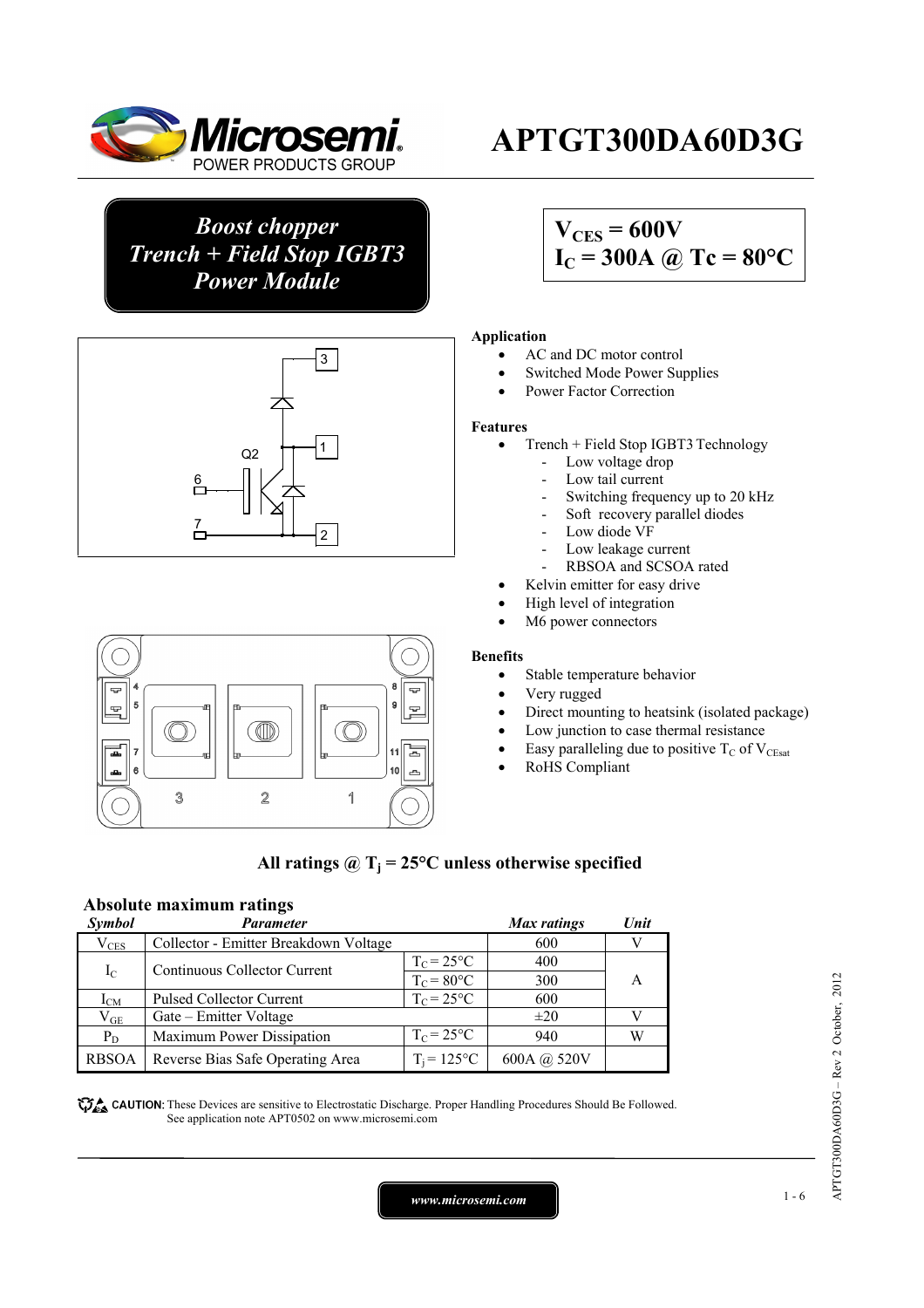

*Boost chopper Trench + Field Stop IGBT3 Power Module*





# **APTGT300DA60D3G**

## $V_{CES} = 600V$  $I_C = 300A \omega Tc = 80^{\circ}C$

#### **Application**

- AC and DC motor control
- Switched Mode Power Supplies
- Power Factor Correction

#### **Features**

- Trench + Field Stop IGBT3Technology
	- Low voltage drop
	- Low tail current
	- Switching frequency up to 20 kHz
	- Soft recovery parallel diodes
	- Low diode VF
	- Low leakage current
	- RBSOA and SCSOA rated
- Kelvin emitter for easy drive
- High level of integration
- M6 power connectors

#### **Benefits**

- Stable temperature behavior
- Very rugged
- Direct mounting to heatsink (isolated package)
- Low junction to case thermal resistance
- Easy paralleling due to positive  $T_C$  of  $V_{CEsat}$
- RoHS Compliant

#### All ratings  $\omega_{\text{I}} = 25^{\circ}\text{C}$  unless otherwise specified

### **Absolute maximum ratings**

| Symbol        | Parameter                             |                      | <b>Max</b> ratings | Unit |
|---------------|---------------------------------------|----------------------|--------------------|------|
| $\rm V_{CES}$ | Collector - Emitter Breakdown Voltage |                      | 600                |      |
| $I_{\rm C}$   | Continuous Collector Current          | $T_c = 25$ °C        | 400                |      |
|               |                                       | $T_c = 80^{\circ}$ C | 300                |      |
| $I_{CM}$      | <b>Pulsed Collector Current</b>       | $T_c = 25$ °C        | 600                |      |
| $\rm V_{GE}$  | Gate – Emitter Voltage                |                      | $\pm 20$           |      |
| $P_D$         | Maximum Power Dissipation             | $T_c = 25$ °C        | 940                |      |
| <b>RBSOA</b>  | Reverse Bias Safe Operating Area      | $T_i = 125$ °C       | 600A @ 520V        |      |

**These** CAUTION: These Devices are sensitive to Electrostatic Discharge. Proper Handling Procedures Should Be Followed. See application note APT0502 on www.microsemi.com

*www.microsemi.com* 1-6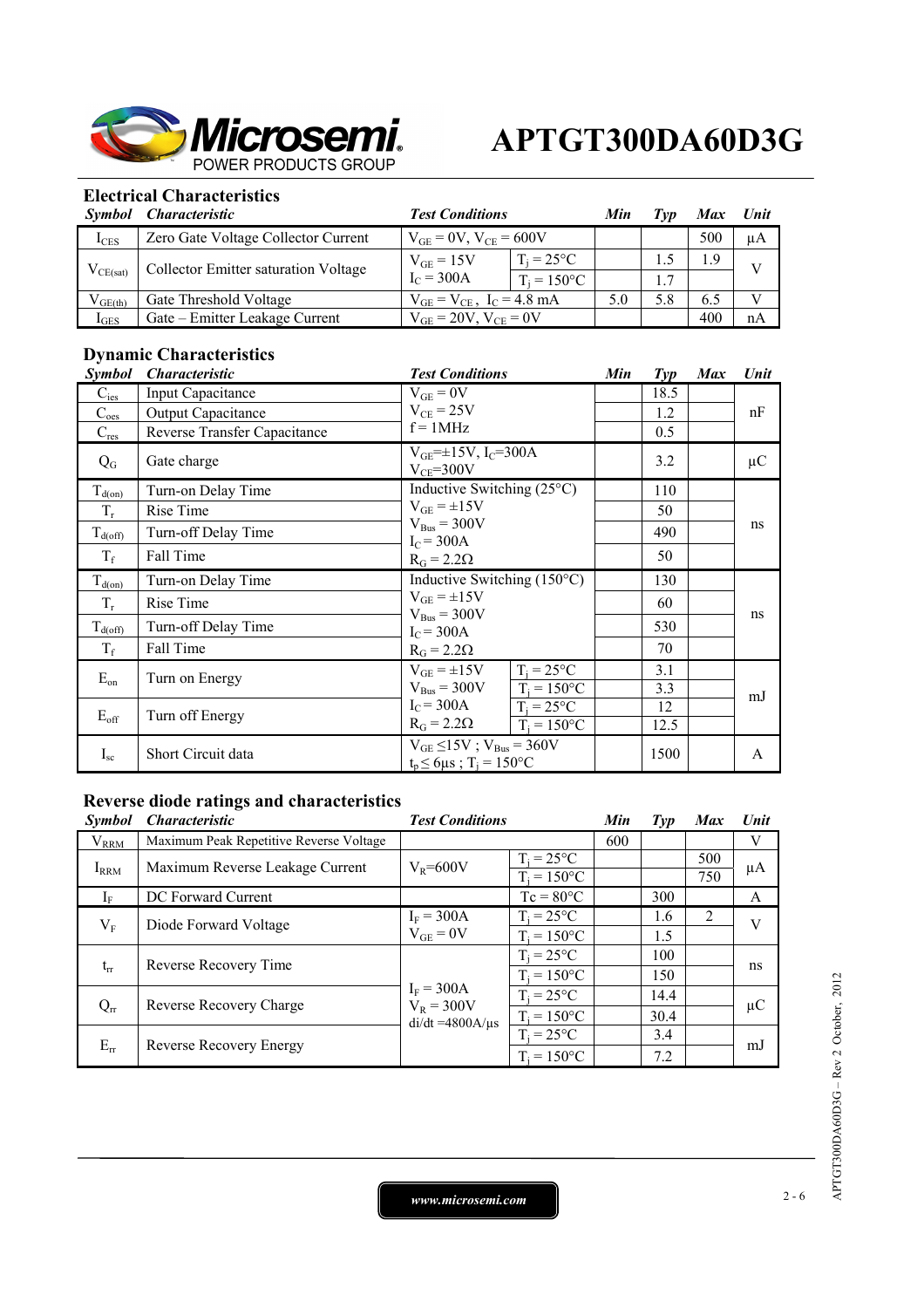

### **Electrical Characteristics**

| Symbol           | <i><b>Characteristic</b></i>         | <b>Test Conditions</b>             |                      | Min | Tvp | <b>Max</b> | Unit    |
|------------------|--------------------------------------|------------------------------------|----------------------|-----|-----|------------|---------|
| $I_{CES}$        | Zero Gate Voltage Collector Current  | $V_{GE} = 0V$ , $V_{CE} = 600V$    |                      |     |     | 500        | $\mu A$ |
| $V_{CE(sat)}$    | Collector Emitter saturation Voltage | $V_{GE} = 15V$<br>$I_C = 300A$     | $T_i = 25^{\circ}C$  |     |     | $\cdot$ 9  |         |
|                  |                                      |                                    | $T_i = 150^{\circ}C$ |     |     |            |         |
| $V_{GE(th)}$     | Gate Threshold Voltage               | $V_{GE} = V_{CE}$ , $I_C = 4.8$ mA |                      | 5.0 | 5.8 | 6.5        | V       |
| $1_{\text{GES}}$ | Gate – Emitter Leakage Current       | $V_{GF} = 20V$ , $V_{CF} = 0V$     |                      |     |     | 400        | nA      |

## **Dynamic Characteristics**

| <i>Symbol</i>    | <i><b>Characteristic</b></i> | <b>Test Conditions</b>                                                                | Min | $\mathit{Typ}$ | <b>Max</b> | Unit    |
|------------------|------------------------------|---------------------------------------------------------------------------------------|-----|----------------|------------|---------|
| $C_{\text{ies}}$ | Input Capacitance            | $V_{GE} = 0V$                                                                         |     | 18.5           |            |         |
| $C_{oes}$        | <b>Output Capacitance</b>    | $V_{CE}$ = 25V                                                                        |     | 1.2            |            | nF      |
| $C_{res}$        | Reverse Transfer Capacitance | $f = 1MHz$                                                                            |     | 0.5            |            |         |
| $Q_{G}$          | Gate charge                  | $V_{GE} = \pm 15V$ , I <sub>C</sub> =300A<br>$V_{CE} = 300V$                          |     | 3.2            |            | $\mu$ C |
| $T_{d(0n)}$      | Turn-on Delay Time           | Inductive Switching $(25^{\circ}C)$                                                   |     | 110            |            |         |
| $T_r$            | Rise Time                    | $V_{GE} = \pm 15V$                                                                    |     | 50             |            | ns      |
| $T_{d(off)}$     | Turn-off Delay Time          | $V_{Bus} = 300V$<br>$I_c = 300A$                                                      |     | 490            |            |         |
| $T_f$            | Fall Time                    | $R_G = 2.2\Omega$                                                                     |     | 50             |            |         |
| $T_{d(0n)}$      | Turn-on Delay Time           | Inductive Switching $(150^{\circ}C)$                                                  |     | 130            |            |         |
| $T_r$            | Rise Time                    | $V_{GE} = \pm 15V$<br>$V_{Bus} = 300V$                                                |     | 60             |            | ns      |
| $T_{d(off)}$     | Turn-off Delay Time          | $I_C = 300A$                                                                          |     | 530            |            |         |
| $T_f$            | Fall Time                    | $R_G = 2.2\Omega$                                                                     |     | 70             |            |         |
| $E_{on}$         | Turn on Energy               | $V_{GE} = \pm 15V$<br>$T_i = 25^{\circ}C$                                             |     | 3.1            |            |         |
|                  |                              | $V_{\text{Bus}} = 300V$<br>$T_i = 150$ °C                                             |     | 3.3            |            | mJ      |
| $E_{\rm off}$    | Turn off Energy              | $I_C = 300A$<br>$\overline{T}_i = 25^{\circ}C$<br>$R_G = 2.2\Omega$<br>$T_i = 150$ °C |     | 12<br>12.5     |            |         |
| $I_{sc}$         | Short Circuit data           | $V_{GE} \le 15V$ ; $V_{Bus} = 360V$<br>$t_p \le 6 \mu s$ ; T <sub>i</sub> = 150°C     |     | 1500           |            | A       |

## **Reverse diode ratings and characteristics**

| <b>Symbol</b> | <i><b>Characteristic</b></i>            | <b>Test Conditions</b>             |                                      | Min | $\mathcal{I}yp$ | <b>Max</b> | <b>Unit</b> |
|---------------|-----------------------------------------|------------------------------------|--------------------------------------|-----|-----------------|------------|-------------|
| $V_{RRM}$     | Maximum Peak Repetitive Reverse Voltage |                                    |                                      | 600 |                 |            | V           |
| $I_{RRM}$     | Maximum Reverse Leakage Current         | $V_R = 600V$                       | $T_i = 25^{\circ}C$                  |     |                 | 500<br>750 | μA          |
| $1_{\rm F}$   | DC Forward Current                      |                                    | $T_i = 150$ °C<br>$Tc = 80^{\circ}C$ |     | 300             |            | A           |
|               | Diode Forward Voltage                   | $I_F = 300A$                       | $T_i = 25^{\circ}C$                  |     | 1.6             | 2          | V           |
| $V_{\rm F}$   |                                         | $V_{GE} = 0V$                      | $T_i = 150$ °C                       |     | 1.5             |            |             |
| $t_{rr}$      | Reverse Recovery Time                   |                                    | $T_i = 25^{\circ}C$                  |     | 100             |            | ns          |
|               |                                         |                                    | $T_i = 150$ °C                       |     | 150             |            |             |
| $Q_{rr}$      |                                         | $I_F = 300A$                       | $T_i = 25^{\circ}C$                  |     | 14.4            |            |             |
|               | Reverse Recovery Charge                 | $V_R = 300V$<br>$di/dt = 4800A/us$ | $T_i = 150$ °C                       |     | 30.4            |            | $\mu$ C     |
| $E_{rr}$      |                                         |                                    | $T_i = 25^{\circ}C$                  |     | 3.4             |            |             |
|               | <b>Reverse Recovery Energy</b>          |                                    | $T_i = 150$ °C                       |     | 7.2             |            | mJ          |

APTGT300DA60D3G - Rev 2 October, 2012 APTGT300DA60D3G – Rev 2 October, 2012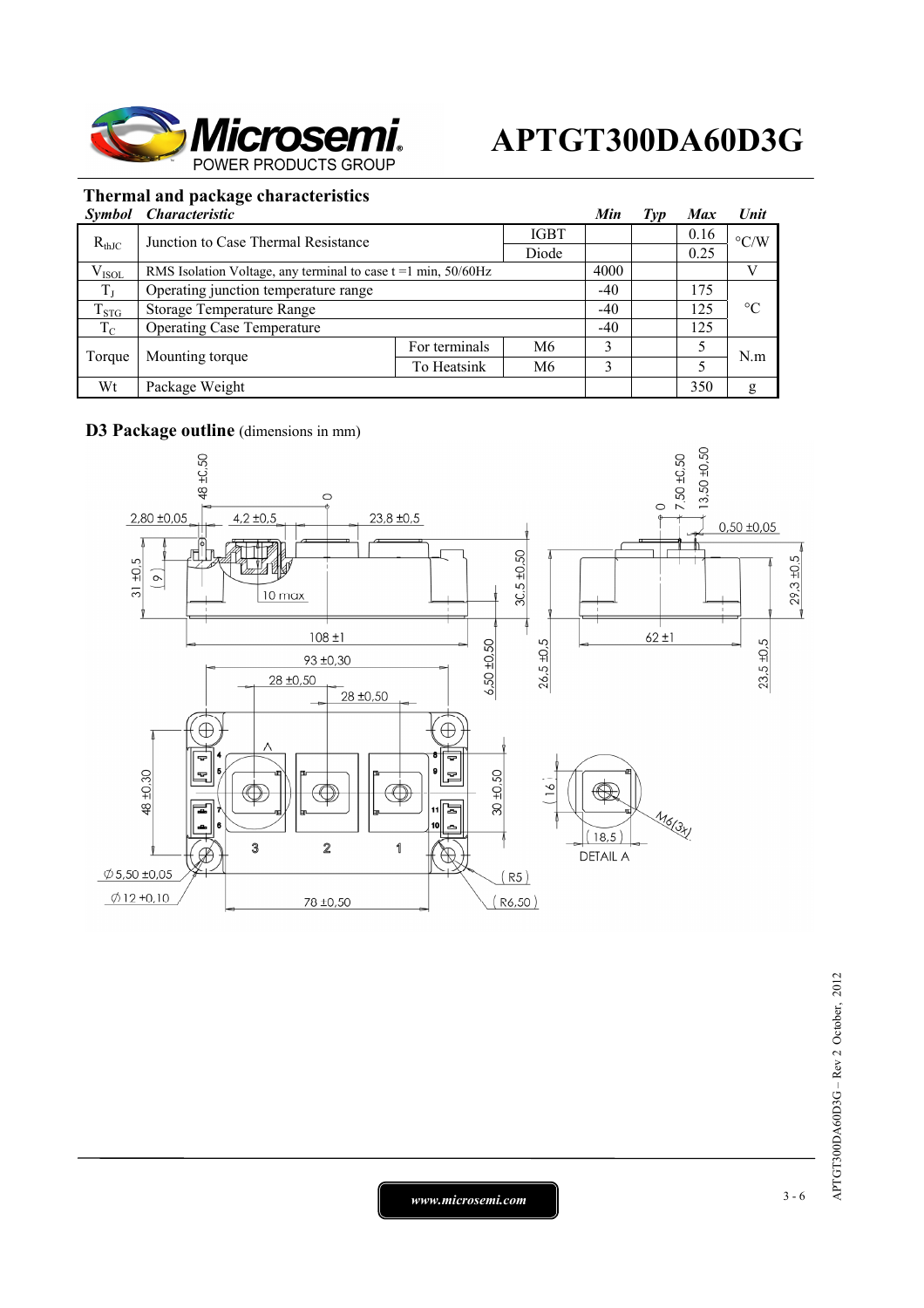

## **Thermal and package characteristics**

| <b>Symbol</b> | <i>Characteristic</i>                                            |               |             | Min   | Typ | <b>Max</b> | Unit               |
|---------------|------------------------------------------------------------------|---------------|-------------|-------|-----|------------|--------------------|
| $R_{thJC}$    | Junction to Case Thermal Resistance                              |               | <b>IGBT</b> |       |     | 0.16       | $\rm ^{\circ} C/W$ |
|               |                                                                  |               | Diode       |       |     | 0.25       |                    |
| $V_{ISOL}$    | RMS Isolation Voltage, any terminal to case $t = 1$ min, 50/60Hz |               |             | 4000  |     |            | v                  |
| $T_{J}$       | Operating junction temperature range                             |               |             | $-40$ |     | 175        |                    |
| $T_{STG}$     | Storage Temperature Range                                        |               |             | $-40$ |     | 125        | $\rm ^{\circ}C$    |
| $T_{\rm C}$   | <b>Operating Case Temperature</b>                                |               |             | $-40$ |     | 125        |                    |
| Torque        | Mounting torque                                                  | For terminals | M6          | 3     |     | 5          | N.m                |
|               |                                                                  | To Heatsink   | M6          | 3     |     |            |                    |
| Wt            | Package Weight                                                   |               |             |       |     | 350        | g                  |

## **D3 Package outline** (dimensions in mm)



*www.microsemi.com* 3-6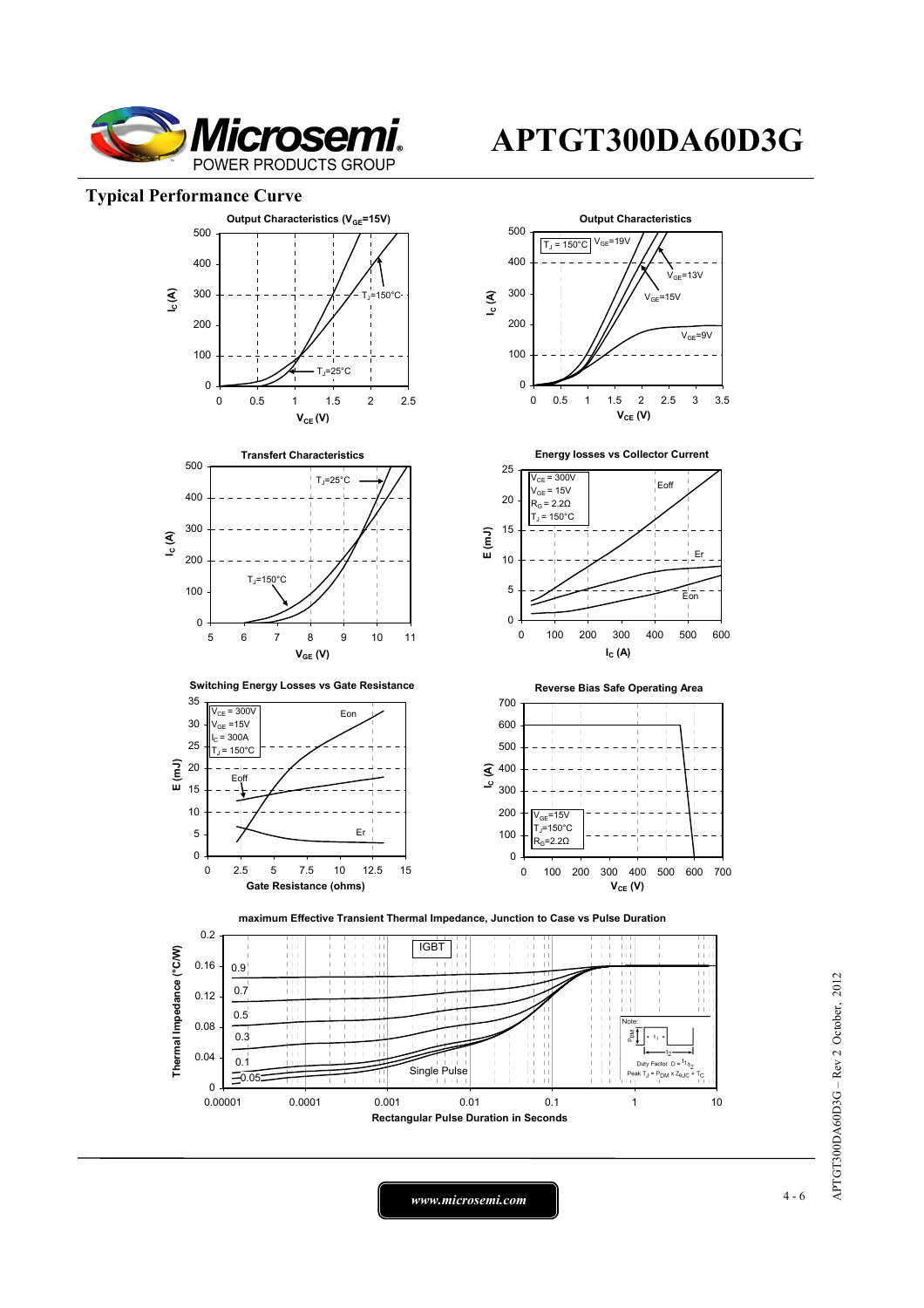

#### **Typical Performance Curve**



**APTGT300DA60D3G**

APTGT300DA60D3G - Rev 2 October, 2012 APTGT300DA60D3G – Rev 2 October, 2012

*www.microsemi.com* 4-6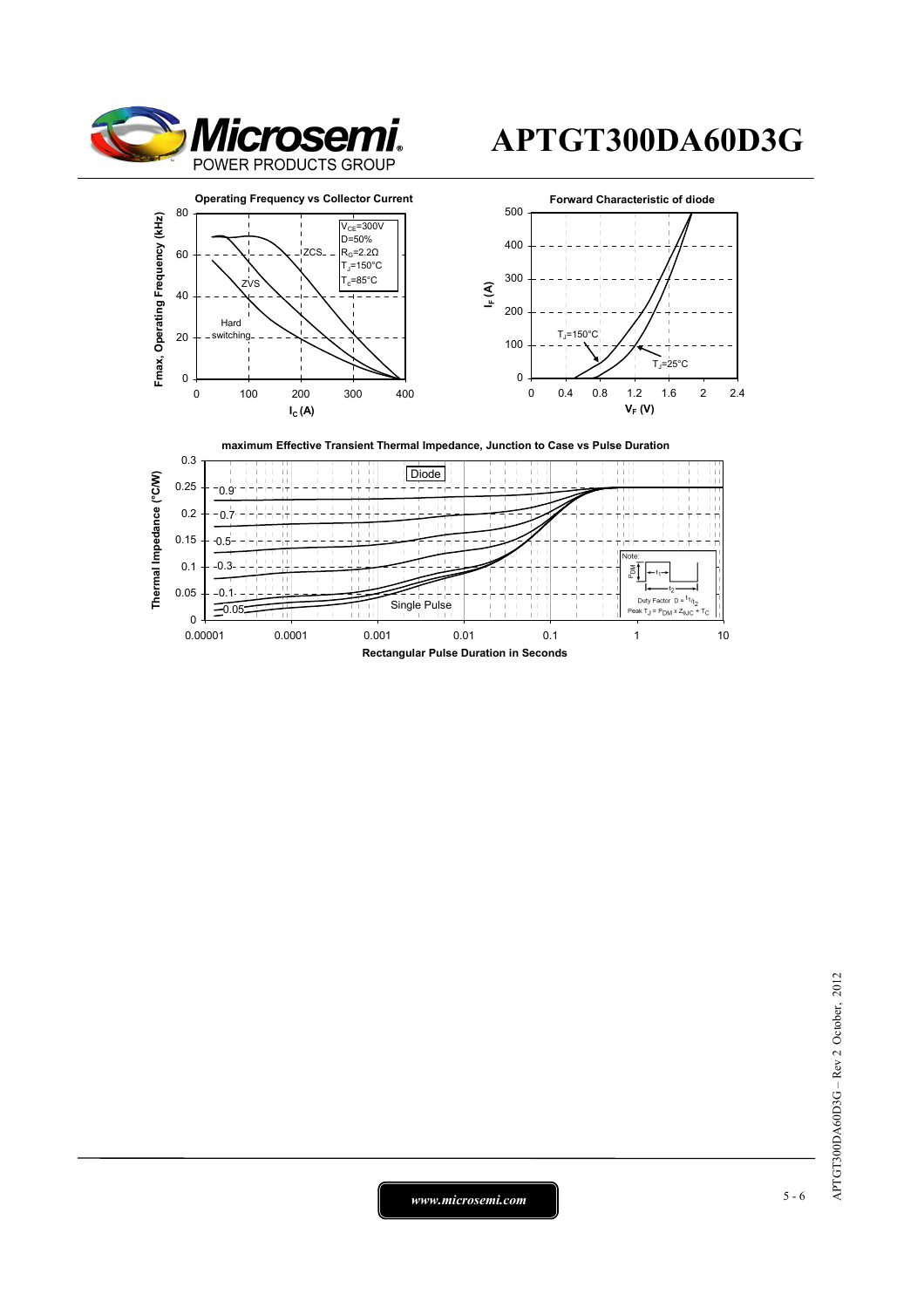









# APTGT300DA60D3G - Rev 2 October, 2012 APTGT300DA60D3G – Rev 2 October, 2012

*www.microsemi.com* 5-6